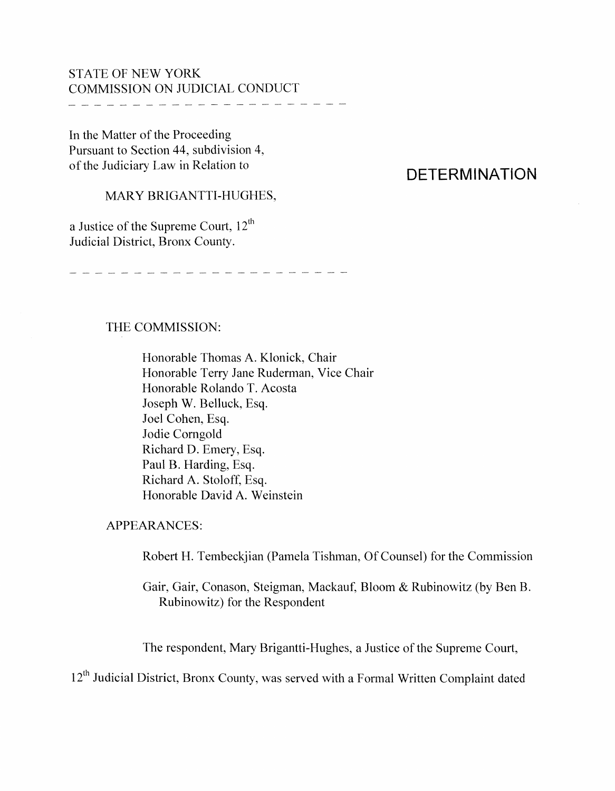## STATE OF NEW YORK COMMISSION ON JUDICIAL CONDUCT

In the Matter of the Proceeding Pursuant to Section 44, subdivision 4, ofthe Judiciary Law in Relation to

# **DETERMINATiON**

MARY BRIGANTTI-HUGHES,

a Justice of the Supreme Court,  $12<sup>th</sup>$ Judicial District, Bronx County.

## THE COMMISSION:

Honorable Thomas A. Klonick, Chair Honorable Terry Jane Ruderman, Vice Chair Honorable Rolando T. Acosta Joseph W. Belluck, Esq. Joel Cohen, Esq. Jodie Corngold Richard D. Emery, Esq. Paul B. Harding, Esq. Richard A. Stoloff, Esq. Honorable David A. Weinstein

APPEARANCES:

Robert H. Tembeckjian (Pamela Tishman, Of Counsel) for the Commission

Gair, Gair, Conason, Steigman, Mackauf, Bloom & Rubinowitz (by Ben B. Rubinowitz) for the Respondent

The respondent, Mary Brigantti-Hughes, a Justice of the Supreme Court,

12<sup>th</sup> Judicial District, Bronx County, was served with a Formal Written Complaint dated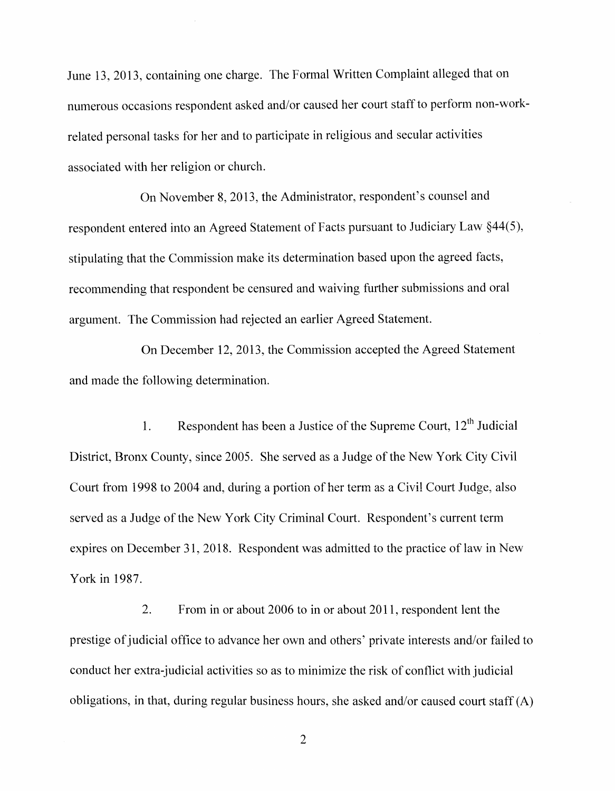June 13, 2013, containing one charge. The Formal Written Complaint alleged that on numerous occasions respondent asked and/or caused her court staffto perform non-workrelated personal tasks for her and to participate in religious and secular activities associated with her religion or church.

On November 8, 2013, the Administrator, respondent's counsel and respondent entered into an Agreed Statement of Facts pursuant to Judiciary Law §44(5), stipulating that the Commission make its determination based upon the agreed facts, recommending that respondent be censured and waiving further submissions and oral argument. The Commission had rejected an earlier Agreed Statement.

On December 12, 2013, the Commission accepted the Agreed Statement and made the following detennination.

1. Respondent has been a Justice of the Supreme Court,  $12<sup>th</sup>$  Judicial District, Bronx County, since 2005. She served as a Judge of the New York City Civil Court from i 998 to 2004 and, during a portion of her term as a Civil Court Judge, also served as a Judge of the New York City Criminal Court. Respondent's current term expires on December 31, 2018. Respondent was admitted to the practice of law in New York in 1987.

2. From in or about 2006 to in or about 2011, respondent lent the prestige of judicial office to advance her own and others' private interests and/or failed to conduct her extra-judicial activities so as to minimize the risk of conflict with judicial obligations, in that, during regular business hours, she asked and/or caused court staff $(A)$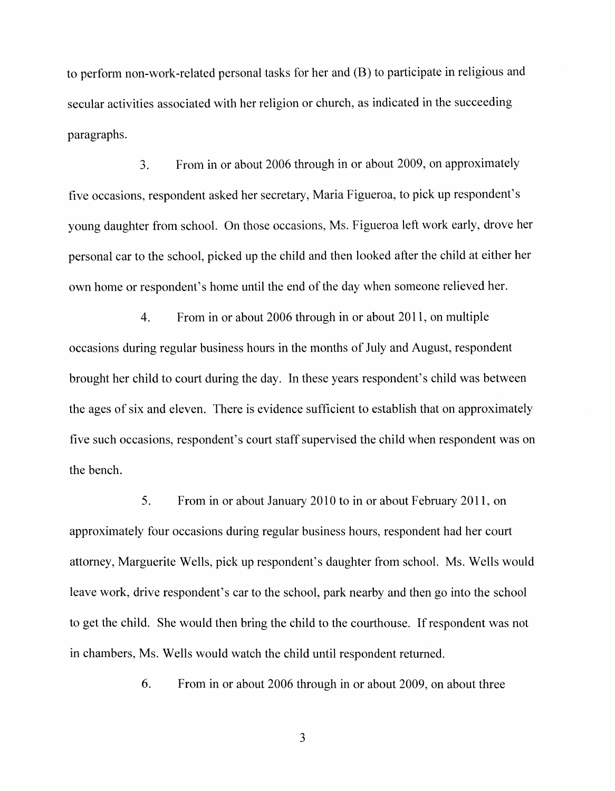to perfonn non-work-related personal tasks for her and (B) to participate in religious and secular activities associated with her religion or church, as indicated in the succeeding paragraphs.

3. From in or about 2006 through in or about 2009, on approximately five occasions, respondent asked her secretary, Maria Figueroa, to pick up respondent's young daughter from school. On those occasions, Ms. Figueroa left work early, drove her personal car to the school, picked up the child and then looked after the child at either her own home or respondent's home until the end of the day when someone relieved her.

4. From in or about 2006 through in or about 2011, on multiple occasions during regular business hours in the months of July and August, respondent brought her child to court during the day. In these years respondent's child was between the ages of six and eleven. There is evidence sufficient to establish that on approximately five such occasions, respondent's court staff supervised the child when respondent was on the bench.

5. From in or about January 2010 to in or about February 2011, on approximately four occasions during regular business hours, respondent had her court attorney, Marguerite Wells, pick up respondent's daughter from school. Ms. Wells would leave work, drive respondent's car to the school, park nearby and then go into the school to get the child. She would then bring the child to the courthouse. Ifrespondent was not in chambers, Ms. Wells would watch the child until respondent returned.

6. From in or about 2006 through in or about 2009, on about three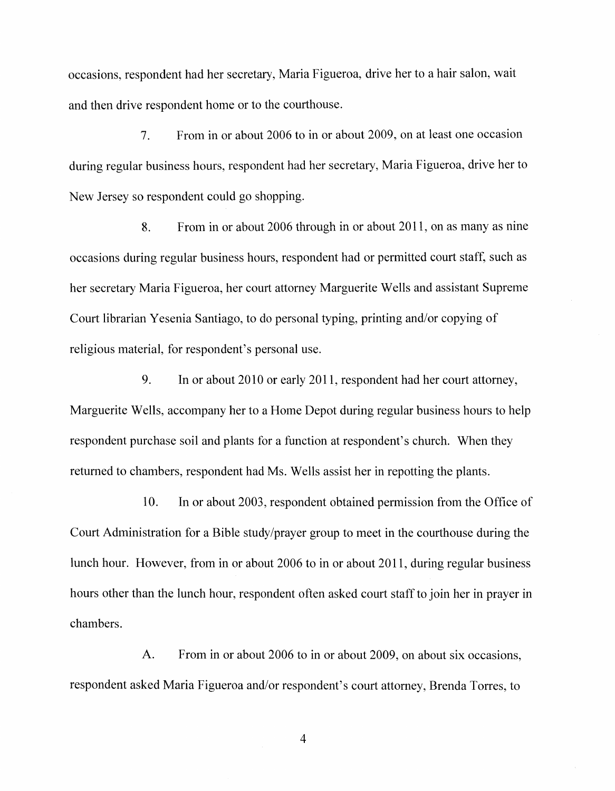occasions, respondent had her secretary, Maria Figueroa, drive her to a hair salon, wait and then drive respondent home or to the courthouse.

7. From in or about 2006 to in or about 2009, on at least one occasion during regular business hours, respondent had her secretary, Maria Figueroa, drive her to New Jersey so respondent could go shopping.

8. From in or about 2006 through in or about 2011, on as many as nine occasions during regular business hours, respondent had or permitted court staff, such as her secretary Maria Figueroa, her court attorney Marguerite Wells and assistant Supreme Court librarian Yesenia Santiago, to do personal typing, printing and/or copying of religious material, for respondent's personal use.

9. In or about 2010 or early 2011, respondent had her court attorney, Marguerite Wells, accompany her to a Home Depot during regular business hours to help respondent purchase soil and plants for a function at respondent's church. When they returned to chambers, respondent had Ms. Wells assist her in repotting the plants.

10. In or about 2003, respondent obtained permission from the Office of Court Administration for a Bible study/prayer group to meet in the courthouse during the lunch hour. However, from in or about 2006 to in or about 2011, during regular business hours other than the lunch hour, respondent often asked court staff to join her in prayer in chambers.

A. From in or about 2006 to in or about 2009, on about six occasions, respondent asked Maria Figueroa and/or respondent's court attorney, Brenda Torres, to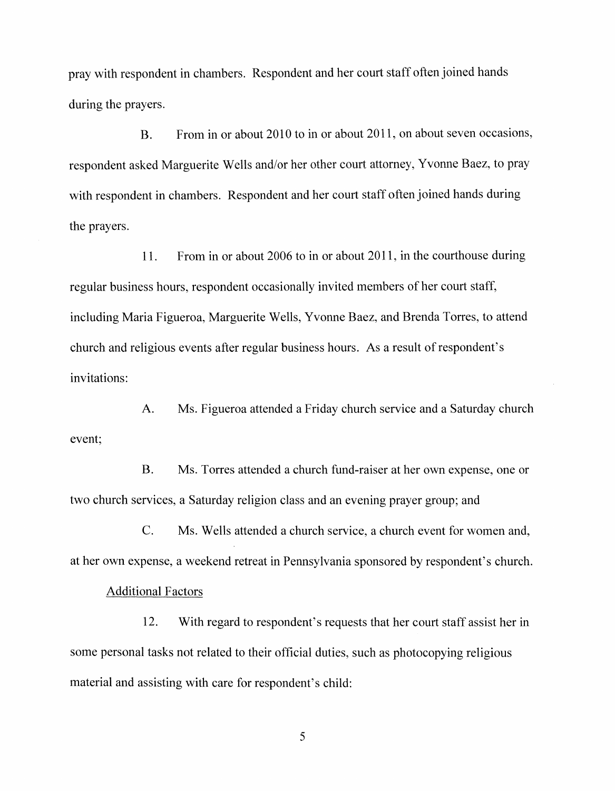pray with respondent in chambers. Respondent and her court staff often joined hands during the prayers.

B. From in or about 2010 to in or about 2011, on about seven occasions, respondent asked Marguerite Wells and/or her other court attorney, Yvonne Baez, to pray with respondent in chambers. Respondent and her court staff often joined hands during the prayers.

11. From in or about 2006 to in or about  $2011$ , in the courthouse during regular business hours, respondent occasionally invited members of her court staff, including Maria Figueroa, Marguerite Wells, Yvonne Baez, and Brenda Torres, to attend church and religious events after regular business hours. As a result of respondent's invitations:

A. Ms. Figueroa attended a Friday church service and a Saturday church event;

B. Ms. Torres attended a church fund-raiser at her own expense, one or two church services, a Saturday religion class and an evening prayer group; and

C. Ms. Wells attended a church service, a church event for women and, at her own expense, a weekend retreat in Pennsylvania sponsored by respondent's church.

### Additional Factors

12. With regard to respondent's requests that her court staff assist her in some personal tasks not related to their official duties, such as photocopying religious material and assisting with care for respondent's child: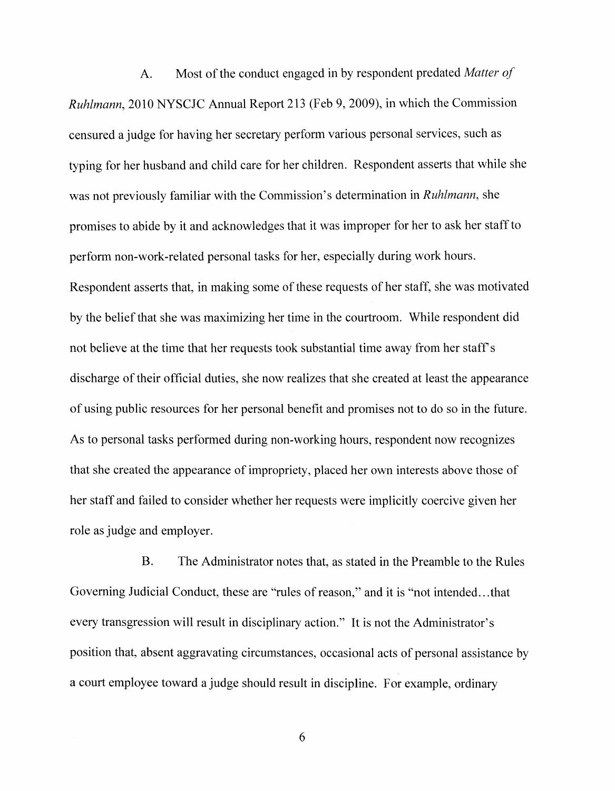A. Most of the conduct engaged in by respondent predated *Matter of Ruhlmann,* 2010 NYSCJC Annual Report 213 (Feb 9, 2009), in which the Commission censured a judge for having her secretary perform various personal services, such as typing for her husband and child care for her children. Respondent asserts that while she was not previously familiar with the Commission's determination in *Ruhlmann*, she promises to abide by it and acknowledges that it was improper for her to ask her staffto perform non-work-related personal tasks for her, especially during work hours. Respondent asserts that, in making some of these requests of her staff, she was motivated by the belief that she was maximizing her time in the courtroom. While respondent did not believe at the time that her requests took substantial time away from her staff's discharge of their official duties, she now realizes that she created at least the appearance of using public resources for her personal benefit and promises not to do so in the future. As to personal tasks performed during non-working hours, respondent now recognizes that she created the appearance of impropriety, placed her own interests above those of her staff and failed to consider whether her requests were implicitly coercive given her role as judge and employer.

B. The Administrator notes that, as stated in the Preamble to the Rules Governing Judicial Conduct, these are "rules of reason," and it is "not intended...that every transgression will result in disciplinary action." It is not the Administrator's position that, absent aggravating circumstances, occasional acts of personal assistance by a court employee toward a judge should result in discipline. For example, ordinary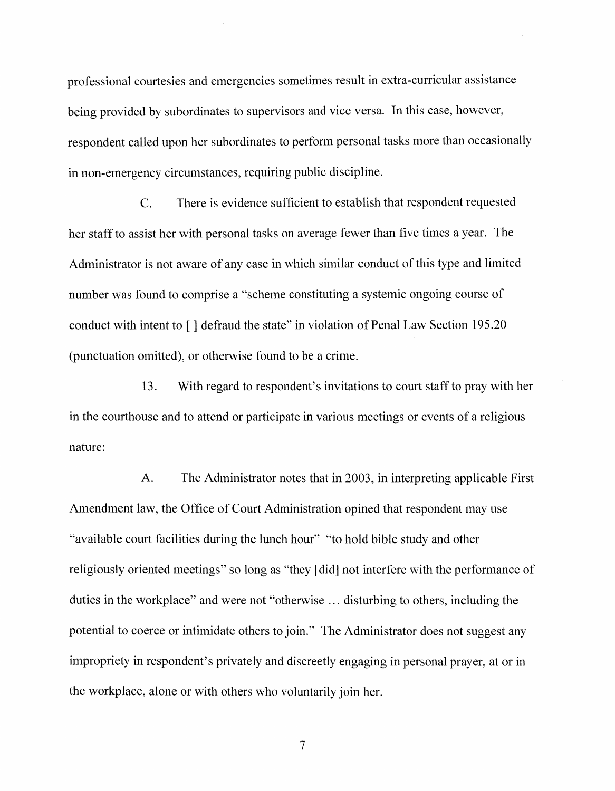professional courtesies and emergencies somethnes result in extra-curricular assistance being provided by subordinates to supervisors and vice versa. In this case, however, respondent called upon her subordinates to perform personal tasks more than occasionally in non-emergency circumstances, requiring public discipline.

C. There is evidence sufficient to establish that respondent requested her staffto assist her with personal tasks on average fewer than five times a year. The Administrator is not aware of any case in which similar conduct of this type and limited number was found to comprise a "scheme constituting a systemic ongoing course of conduct with intent to  $\lceil \cdot \rceil$  defraud the state" in violation of Penal Law Section 195.20 (punctuation omitted), or otherwise found to be a crime.

13. With regard to respondent's invitations to court staffto pray with her in the courthouse and to attend or participate in various meetings or events of a religious nature:

A. The Administrator notes that in 2003, in interpreting applicable First Amendment law, the Office of Court Administration opined that respondent may use "available court facilities during the lunch hour" "to hold bible study and other religiously oriented meetings" so long as "they [did] not interfere with the performance of duties in the workplace" and were not "otherwise ... disturbing to others, including the potential to coerce or intimidate others to join." The Administrator does not suggest any impropriety in respondent's privately and discreetly engaging in personal prayer, at or in the workplace, alone or with others who voluntarily join her.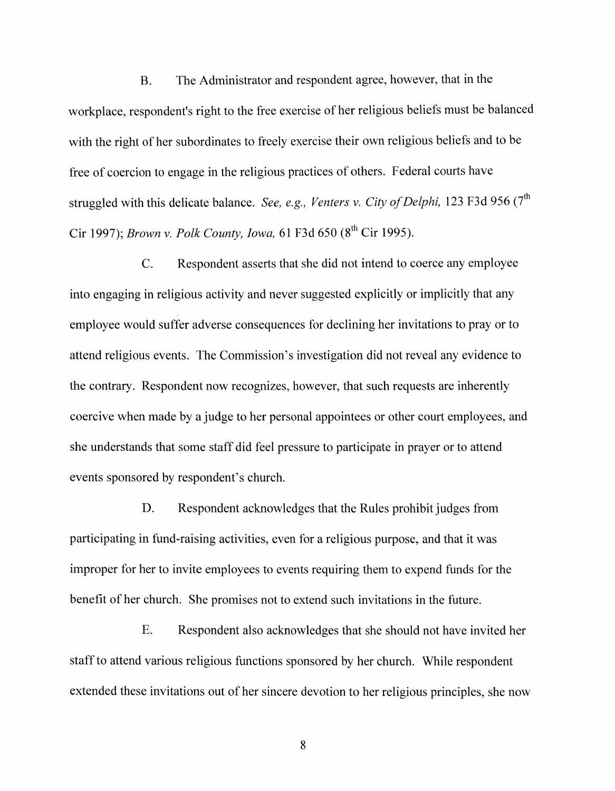B. The Administrator and respondent agree, however, that in the workplace, respondent's right to the free exercise of her religious beliefs must be balanced with the right of her subordinates to freely exercise their own religious beliefs and to be free of coercion to engage in the religious practices of others. Federal courts have struggled with this delicate balance. *See, e.g., Venters v. City of Delphi,* 123 F3d 956 (7<sup>th</sup> Cir 1997); *Brown v. Polk County, Iowa,* 61 F3d 650 (8<sup>th</sup> Cir 1995).

C. Respondent asserts that she did not intend to coerce any employee into engaging in religious activity and never suggested explicitly or implicitly that any employee would suffer adverse consequences for declining her invitations to pray or to attend religious events. The Commission's investigation did not reveal any evidence to the contrary. Respondent now recognizes, however, that such requests are inherently coercive when made by a judge to her personal appointees or other court employees, and she understands that some staff did feel pressure to participate in prayer or to attend events sponsored by respondent's church.

D. Respondent acknowledges that the Rules prohibit judges from participating in fund-raising activities, even for a religious purpose, and that it was improper for her to invite employees to events requiring them to expend funds for the benefit of her church. She promises not to extend such invitations in the future.

E. Respondent also acknowledges that she should not have invited her staff to attend various religious functions sponsored by her church. While respondent extended these invitations out of her sincere devotion to her religious principles, she now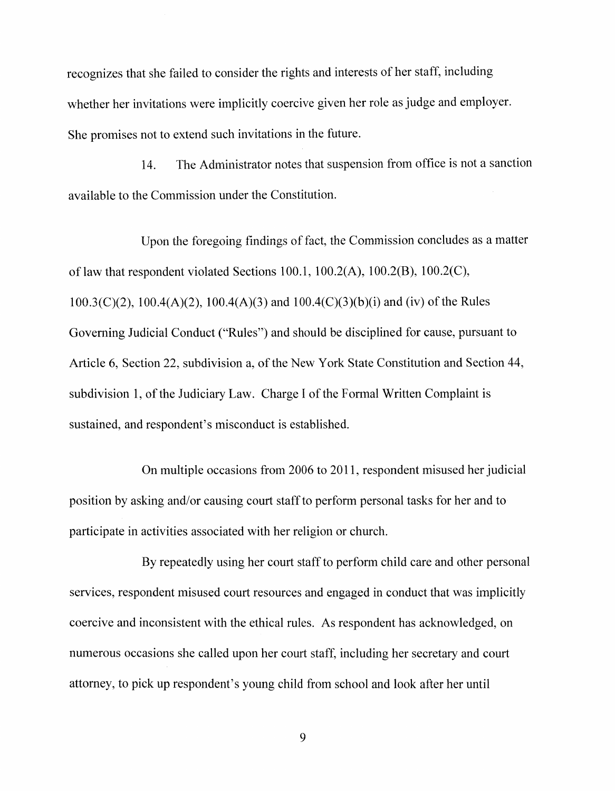recognizes that she failed to consider the rights and interests of her staff, including whether her invitations were implicitly coercive given her role as judge and employer. She promises not to extend such invitations in the future.

14. The Administrator notes that suspension from office is not a sanction available to the Commission under the Constitution.

Upon the foregoing findings of fact, the Commission concludes as a matter of law that respondent violated Sections 100.1, 100.2(A), 100.2(B), 100.2(C),  $100.3(C)(2)$ ,  $100.4(A)(2)$ ,  $100.4(A)(3)$  and  $100.4(C)(3)(b)(i)$  and (iv) of the Rules Governing Judicial Conduct ("Rules") and should be disciplined for cause, pursuant to Article 6, Section 22, subdivision a, of the New York State Constitution and Section 44, subdivision 1, of the Judiciary Law. Charge I of the Formal Written Complaint is sustained, and respondent's misconduct is established.

On multiple occasions from 2006 to 2011, respondent misused her judicial position by asking and/or causing court staffto perform personal tasks for her and to participate in activities associated with her religion or church.

By repeatedly using her court staff to perform child care and other personal services, respondent misused court resources and engaged in conduct that was implicitly coercive and inconsistent with the ethical rules. As respondent has acknowledged, on numerous occasions she called upon her court staff, including her secretary and court attorney, to pick up respondent's young child from school and look after her until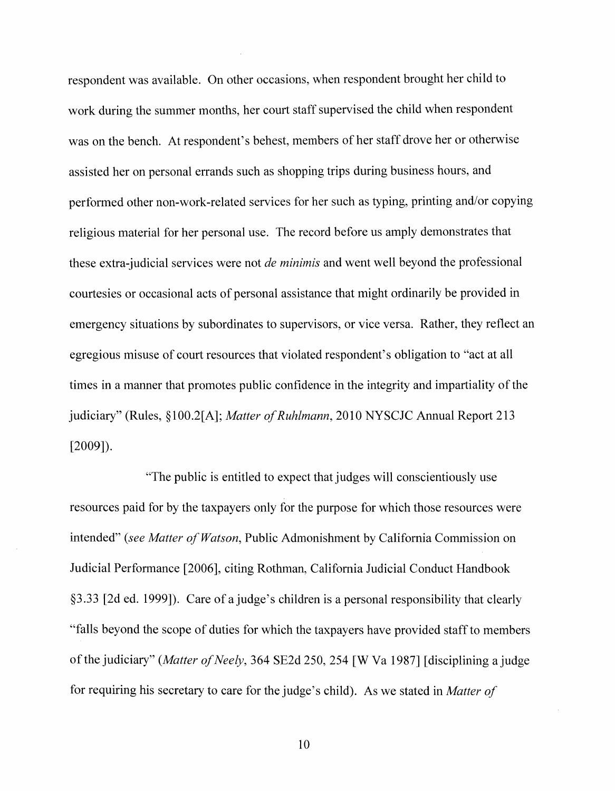respondent was available. On other occasions, when respondent brought her child to work during the summer months, her court staff supervised the child when respondent was on the bench. At respondent's behest, members of her staff drove her or otherwise assisted her on personal errands such as shopping trips during business hours, and performed other non-work-related services for her such as typing, printing and/or copying religious material for her personal use. The record before us amply demonstrates that these extra-judicial services were not *de minimis* and went well beyond the professional courtesies or occasional acts of personal assistance that might ordinarily be provided in emergency situations by subordinates to supervisors, or vice versa. Rather, they reflect an egregious misuse of court resources that violated respondent's obligation to "act at all times in a manner that promotes public confidence in the integrity and impartiality of the judiciary" (Rules, §100.2[A]; *Matter of Ruhlmann*, 2010 NYSCJC Annual Report 213 [2009]).

"The public is entitled to expect that judges will conscientiously use resources paid for by the taxpayers only for the purpose for which those resources were intended" (see Matter of Watson, Public Admonishment by California Commission on Judicial Performance [2006], citing Rothman, California Judicial Conduct Handbook §3.33 [2d ed. 1999]). Care of a judge's children is a personal responsibility that clearly "falls beyond the scope of duties for which the taxpayers have provided staffto members of the judiciary" *(Matter of Neely, 364 SE2d 250, 254 [W Va 1987] [disciplining a judge* for requiring his secretary to care for the judge's child). As we stated in *Matter of*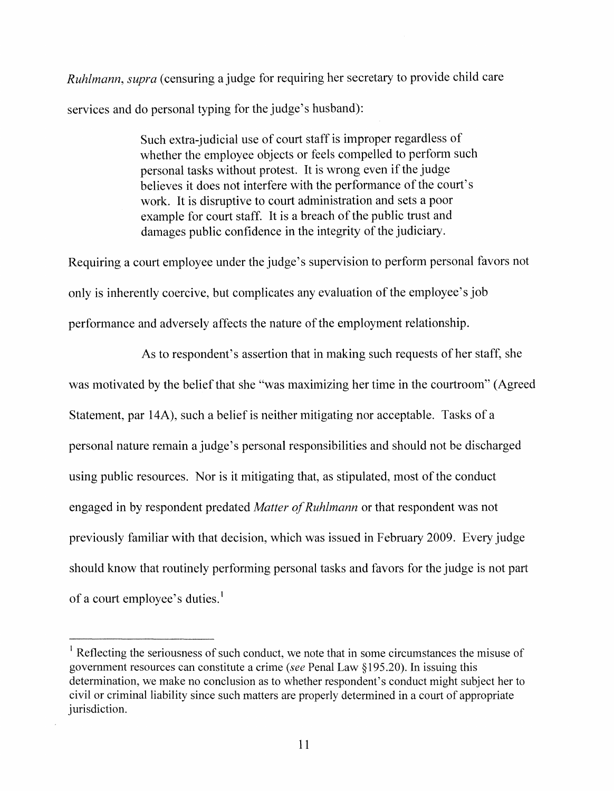*Ruhlmann, supra* (censuring a judge for requiring her secretary to provide child care services and do personal typing for the judge's husband):

> Such extra-judicial use of court staff is improper regardless of whether the employee objects or feels compelled to perform such personal tasks without protest. It is wrong even if the judge believes it does not interfere with the performance of the court's work. It is disruptive to court administration and sets a poor example for court staff. It is a breach of the public trust and damages public confidence in the integrity of the judiciary.

Requiring a court employee under the judge's supervision to perform personal favors not only is inherently coercive, but complicates any evaluation of the employee's job performance and adversely affects the nature of the employment relationship.

As to respondent's assertion that in making such requests of her staff, she was motivated by the belief that she "was maximizing her time in the courtroom" (Agreed Statement, par 14A), such a belief is neither mitigating nor acceptable. Tasks of a personal nature remain a judge's personal responsibilities and should not be discharged using public resources. Nor is it mitigating that, as stipulated, most of the conduct engaged in by respondent predated *Matter of Ruhlmann* or that respondent was not previously familiar with that decision, which was issued in February 2009. Every judge should know that routinely perfonning personal tasks and favors for the judge is not part of a court employee's duties.<sup>1</sup>

 $<sup>1</sup>$  Reflecting the seriousness of such conduct, we note that in some circumstances the misuse of</sup> government resources can constitute a crime *(see* Penal Law §195.20). In issuing this determination, we make no conclusion as to whether respondent's conduct might subject her to civil or criminal liability since such matters are properly determined in a court of appropriate jurisdiction.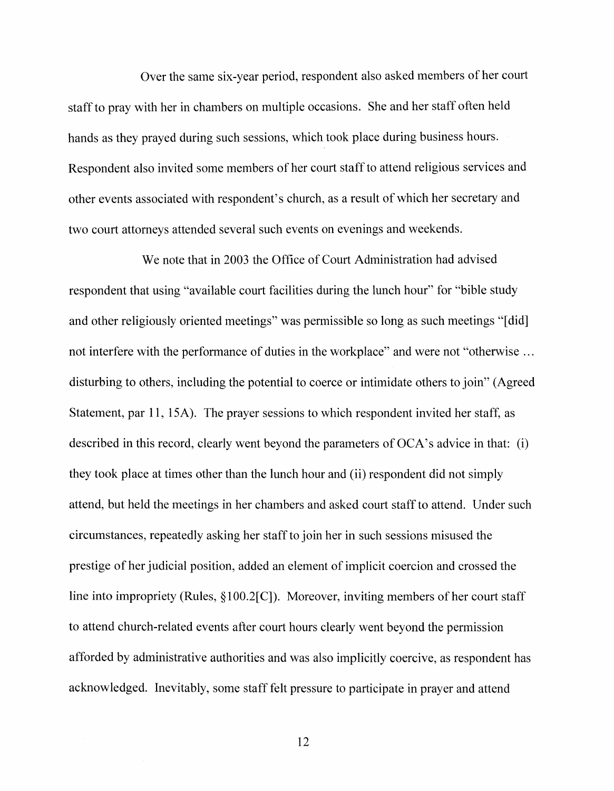Over the same six-year period, respondent also asked members of her court staffto pray with her in chambers on multiple occasions. She and her staff often held hands as they prayed during such sessions, which took place during business hours. Respondent also invited some members of her court staff to attend religious services and other events associated with respondent's church, as a result ofwhich her secretary and two court attorneys attended several such events on evenings and weekends.

We note that in 2003 the Office of Court Administration had advised respondent that using "available court facilities during the lunch hour" for "bible study and other religiously oriented meetings" was permissible so long as such meetings "[did] not interfere with the performance of duties in the workplace" and were not "otherwise ... disturbing to others, including the potential to coerce or intimidate others to join" (Agreed Statement, par 11, 15A). The prayer sessions to which respondent invited her staff, as described in this record, clearly went beyond the parameters of  $OCA$ 's advice in that: (i) they took place at times other than the lunch hour and (ii) respondent did not simply attend, but held the meetings in her chambers and asked court staffto attend. Under such circumstances, repeatedly asking her staffto join her in such sessions misused the prestige of her judicial position, added an element of implicit coercion and crossed the line into impropriety (Rules, §100.2[C]). Moreover, inviting members of her court staff to attend church-related events after court hours clearly went beyond the permission afforded by administrative authorities and was also implicitly coercive, as respondent has acknowledged. Inevitably, some staff felt pressure to participate in prayer and attend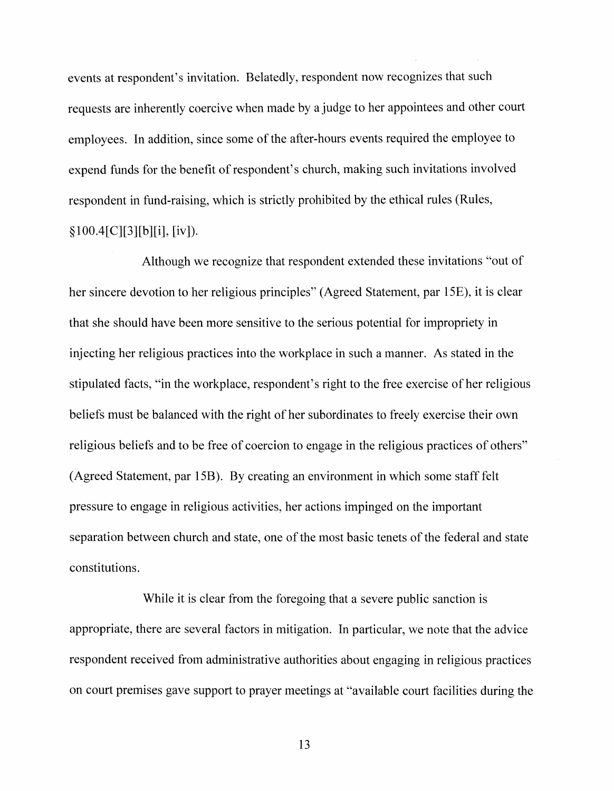events at respondent's invitation. Belatedly, respondent now recognizes that such requests are inherently coercive when made by a judge to her appointees and other court employees. In addition, since some of the after-hours events required the employee to expend funds for the benefit of respondent's church, making such invitations involved respondent in fund-raising, which is strictly prohibited by the ethical rules (Rules, §100.4[C][3][b][i], [iv]).

Although we recognize that respondent extended these invitations "out of her sincere devotion to her religious principles" (Agreed Statement, par 15E), it is clear that she should have been more sensitive to the serious potential for impropriety in injecting her religious practices into the workplace in such a manner. As stated in the stipulated facts, "in the workplace, respondent's right to the free exercise of her religious beliefs must be balanced with the right of her subordinates to freely exercise their own religious beliefs and to be free of coercion to engage in the religious practices of others" (Agreed Statement, par 15B). By creating an environment in which some staff felt pressure to engage in religious activities, her actions impinged on the important separation between church and state, one of the most basic tenets of the federal and state constitutions.

While it is clear from the foregoing that a severe public sanction is appropriate, there are several factors in mitigation. In particular, we note that the advice respondent received from administrative authorities about engaging in religious practices on court premises gave support to prayer meetings at "available court facilities during the